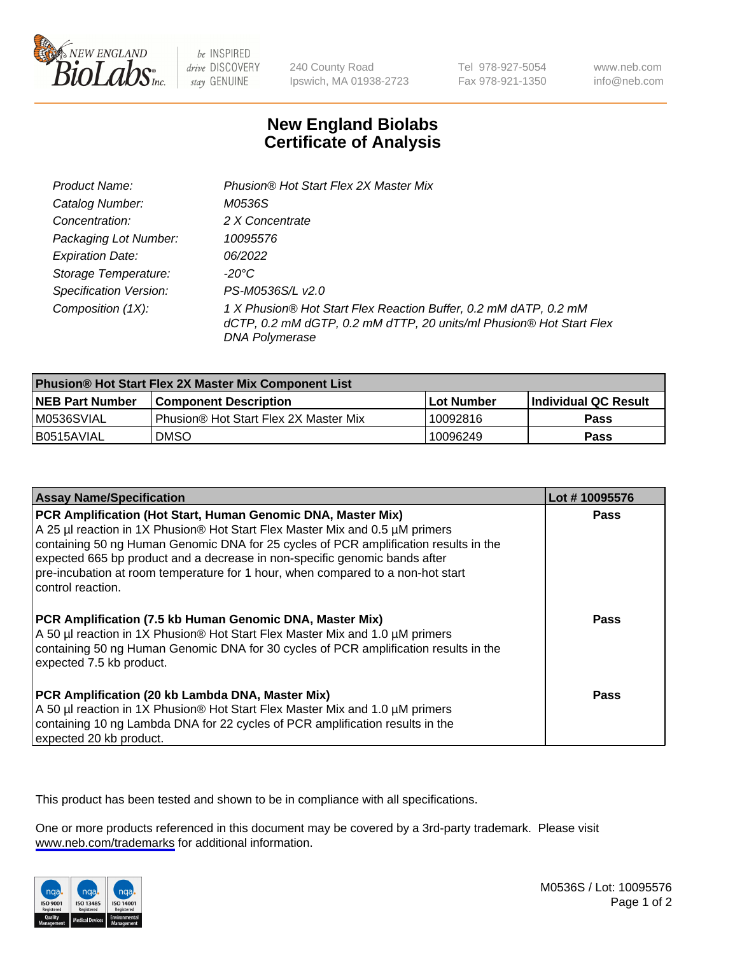

be INSPIRED drive DISCOVERY stay GENUINE

240 County Road Ipswich, MA 01938-2723 Tel 978-927-5054 Fax 978-921-1350

www.neb.com info@neb.com

## **New England Biolabs Certificate of Analysis**

| Product Name:                 | Phusion® Hot Start Flex 2X Master Mix                                                                                                                     |
|-------------------------------|-----------------------------------------------------------------------------------------------------------------------------------------------------------|
| Catalog Number:               | M0536S                                                                                                                                                    |
| Concentration:                | 2 X Concentrate                                                                                                                                           |
| Packaging Lot Number:         | 10095576                                                                                                                                                  |
| <b>Expiration Date:</b>       | 06/2022                                                                                                                                                   |
| Storage Temperature:          | -20°C                                                                                                                                                     |
| <b>Specification Version:</b> | PS-M0536S/L v2.0                                                                                                                                          |
| Composition (1X):             | 1 X Phusion® Hot Start Flex Reaction Buffer, 0.2 mM dATP, 0.2 mM<br>dCTP, 0.2 mM dGTP, 0.2 mM dTTP, 20 units/ml Phusion® Hot Start Flex<br>DNA Polymerase |

| <b>Phusion® Hot Start Flex 2X Master Mix Component List</b> |                                              |            |                             |  |
|-------------------------------------------------------------|----------------------------------------------|------------|-----------------------------|--|
| <b>NEB Part Number</b>                                      | <b>Component Description</b>                 | Lot Number | <b>Individual QC Result</b> |  |
| IM0536SVIAL                                                 | <b>Phusion® Hot Start Flex 2X Master Mix</b> | 10092816   | <b>Pass</b>                 |  |
| I B0515AVIAL                                                | DMSO                                         | 10096249   | Pass                        |  |

| <b>Assay Name/Specification</b>                                                                                                                                                                                                                                                                                                                                                                                            | Lot #10095576 |
|----------------------------------------------------------------------------------------------------------------------------------------------------------------------------------------------------------------------------------------------------------------------------------------------------------------------------------------------------------------------------------------------------------------------------|---------------|
| PCR Amplification (Hot Start, Human Genomic DNA, Master Mix)<br>A 25 µl reaction in 1X Phusion® Hot Start Flex Master Mix and 0.5 µM primers<br>containing 50 ng Human Genomic DNA for 25 cycles of PCR amplification results in the<br>expected 665 bp product and a decrease in non-specific genomic bands after<br>pre-incubation at room temperature for 1 hour, when compared to a non-hot start<br>control reaction. | <b>Pass</b>   |
| PCR Amplification (7.5 kb Human Genomic DNA, Master Mix)<br>A 50 µl reaction in 1X Phusion® Hot Start Flex Master Mix and 1.0 µM primers<br>containing 50 ng Human Genomic DNA for 30 cycles of PCR amplification results in the<br>expected 7.5 kb product.                                                                                                                                                               | Pass          |
| PCR Amplification (20 kb Lambda DNA, Master Mix)<br>A 50 µl reaction in 1X Phusion® Hot Start Flex Master Mix and 1.0 µM primers<br>containing 10 ng Lambda DNA for 22 cycles of PCR amplification results in the<br>expected 20 kb product.                                                                                                                                                                               | Pass          |

This product has been tested and shown to be in compliance with all specifications.

One or more products referenced in this document may be covered by a 3rd-party trademark. Please visit <www.neb.com/trademarks>for additional information.